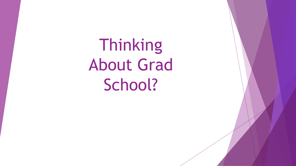Thinking About Grad School?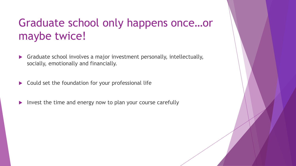## Graduate school only happens once…or maybe twice!

- Graduate school involves a major investment personally, intellectually, socially, emotionally and financially.
- $\triangleright$  Could set the foundation for your professional life
- $\triangleright$  Invest the time and energy now to plan your course carefully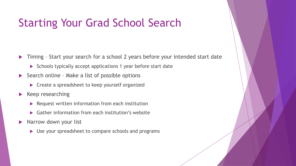### Starting Your Grad School Search

Timing – Start your search for a school 2 years before your intended start date

- Schools typically accept applications 1 year before start date
- $\triangleright$  Search online Make a list of possible options
	- ▶ Create a spreadsheet to keep yourself organized
- $\blacktriangleright$  Keep researching
	- $\blacktriangleright$  Request written information from each institution
	- ▶ Gather information from each institution's website
- $\blacktriangleright$  Narrow down your list
	- ▶ Use your spreadsheet to compare schools and programs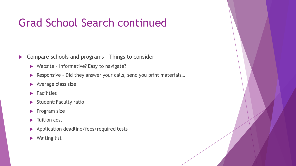## Grad School Search continued

- ▶ Compare schools and programs Things to consider
	- ▶ Website Informative? Easy to navigate?
	- ▶ Responsive Did they answer your calls, send you print materials...
	- Average class size
	- $\blacktriangleright$  Facilities
	- Student:Faculty ratio
	- $\blacktriangleright$  Program size
	- **Tuition cost**
	- **Application deadline/fees/required tests**
	- ▶ Waiting list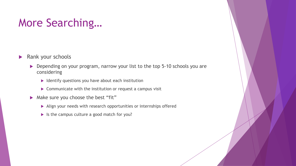## More Searching…

- **Rank your schools** 
	- Depending on your program, narrow your list to the top 5-10 schools you are considering
		- $\blacktriangleright$  Identify questions you have about each institution
		- $\triangleright$  Communicate with the institution or request a campus visit
	- Make sure you choose the best "fit"
		- Align your needs with research opportunities or internships offered
		- If Is the campus culture a good match for you?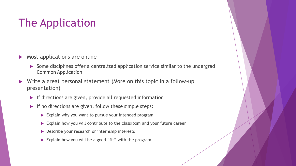## The Application

- $\triangleright$  Most applications are online
	- Some disciplines offer a centralized application service similar to the undergrad Common Application
- ▶ Write a great personal statement (More on this topic in a follow-up presentation)
	- **If directions are given, provide all requested information**
	- If no directions are given, follow these simple steps:
		- Explain why you want to pursue your intended program
		- Explain how you will contribute to the classroom and your future career
		- Describe your research or internship interests
		- Explain how you will be a good "fit" with the program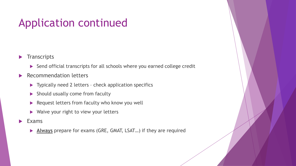## Application continued

- $\blacktriangleright$  Transcripts
	- Send official transcripts for all schools where you earned college credit
- ▶ Recommendation letters
	- ▶ Typically need 2 letters check application specifics
	- Should usually come from faculty
	- ▶ Request letters from faculty who know you well
	- ▶ Waive your right to view your letters
- $\blacktriangleright$  Exams
	- **Always** prepare for exams (GRE, GMAT, LSAT…) if they are required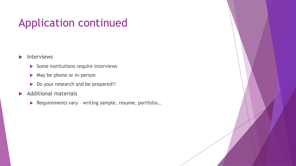## Application continued

#### $\blacktriangleright$  Interviews

- $\triangleright$  Some institutions require interviews
- $\blacktriangleright$  May be phone or in-person
- Do your research and be prepared!!

#### Additional materials

▶ Requirements vary - writing sample, resume, portfolio...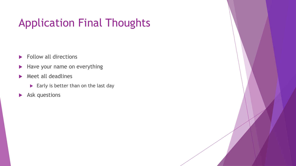# Application Final Thoughts

- Follow all directions
- Have your name on everything
- $\blacktriangleright$  Meet all deadlines
	- $\blacktriangleright$  Early is better than on the last day
- Ask questions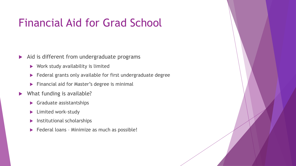### Financial Aid for Grad School

- $\blacktriangleright$  Aid is different from undergraduate programs
	- $\blacktriangleright$  Work study availability is limited
	- Federal grants only available for first undergraduate degree
	- **Financial aid for Master's degree is minimal**
- ▶ What funding is available?
	- **S** Graduate assistantships
	- **Limited work-study**
	- $\blacktriangleright$  Institutional scholarships
	- Federal loans Minimize as much as possible!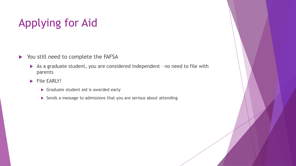# Applying for Aid

- You still need to complete the FAFSA
	- As a graduate student, you are considered independent no need to file with parents
	- $\blacktriangleright$  File EARLY!
		- Graduate student aid is awarded early
		- Sends a message to admissions that you are serious about attending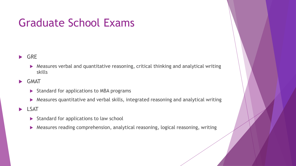### Graduate School Exams

- GRE
	- Measures verbal and quantitative reasoning, critical thinking and analytical writing skills
- **SMAT** 
	- $\triangleright$  Standard for applications to MBA programs
	- Measures quantitative and verbal skills, integrated reasoning and analytical writing
- **LSAT** 
	- $\triangleright$  Standard for applications to law school
	- Measures reading comprehension, analytical reasoning, logical reasoning, writing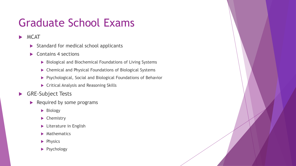## Graduate School Exams

**MCAT** 

- $\triangleright$  Standard for medical school applicants
- $\blacktriangleright$  Contains 4 sections
	- Biological and Biochemical Foundations of Living Systems
	- Chemical and Physical Foundations of Biological Systems
	- Psychological, Social and Biological Foundations of Behavior
	- **F** Critical Analysis and Reasoning Skills
- GRE-Subject Tests
	- $\blacktriangleright$  Required by some programs
		- **Biology**
		- $\blacktriangleright$  Chemistry
		- **Literature in English**
		- $\blacktriangleright$  Mathematics
		- $\blacktriangleright$  Physics
		- Psychology